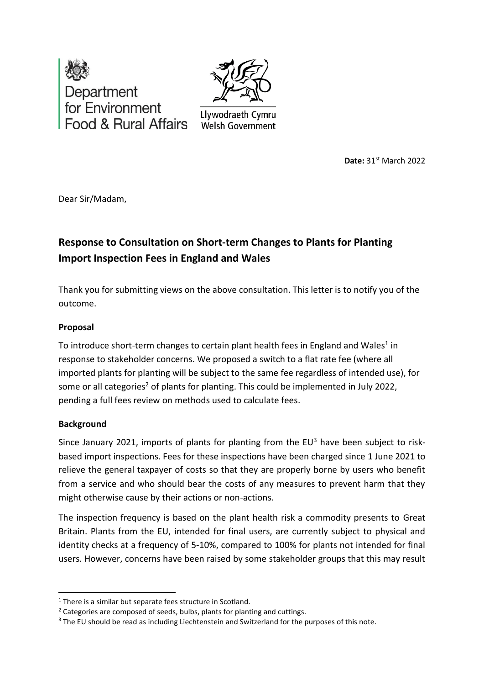



Llywodraeth Cymru **Welsh Government** 

**Date: 31** Date: 31<sup>st</sup> March 2022

Dear Sir/Madam,

# **Response to Consultation on Short-term Changes to Plants for Planting Import Inspection Fees in England and Wales**

Thank you for submitting views on the above consultation. This letter is to notify you of the outcome.

## **Proposal**

To introduce short-term changes to certain plant health fees in England and Wales<sup>1</sup> in response to stakeholder concerns. We proposed a switch to a flat rate fee (where all imported plants for planting will be subject to the same fee regardless of intended use), for some or all categories<sup>2</sup> of plants for planting. This could be implemented in July 2022, pending a full fees review on methods used to calculate fees.

## **Background**

Since January 2021, imports of plants for planting from the  $EU^3$  have been subject to riskbased import inspections. Fees for these inspections have been charged since 1 June 2021 to relieve the general taxpayer of costs so that they are properly borne by users who benefit from a service and who should bear the costs of any measures to prevent harm that they might otherwise cause by their actions or non-actions.

The inspection frequency is based on the plant health risk a commodity presents to Great Britain. Plants from the EU, intended for final users, are currently subject to physical and identity checks at a frequency of 5-10%, compared to 100% for plants not intended for final users. However, concerns have been raised by some stakeholder groups that this may result

<sup>&</sup>lt;sup>1</sup> There is a similar but separate fees structure in Scotland.

<sup>&</sup>lt;sup>2</sup> Categories are composed of seeds, bulbs, plants for planting and cuttings.

<sup>&</sup>lt;sup>3</sup> The EU should be read as including Liechtenstein and Switzerland for the purposes of this note.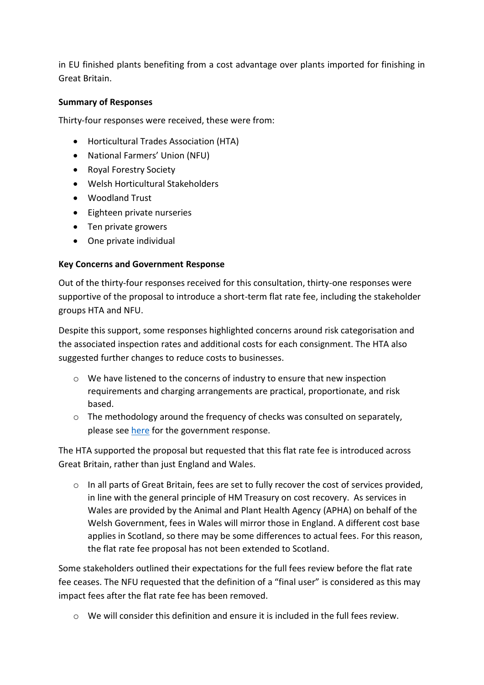in EU finished plants benefiting from a cost advantage over plants imported for finishing in Great Britain.

## **Summary of Responses**

Thirty-four responses were received, these were from:

- Horticultural Trades Association (HTA)
- National Farmers' Union (NFU)
- Royal Forestry Society
- Welsh Horticultural Stakeholders
- Woodland Trust
- Eighteen private nurseries
- Ten private growers
- One private individual

## **Key Concerns and Government Response**

Out of the thirty-four responses received for this consultation, thirty-one responses were supportive of the proposal to introduce a short-term flat rate fee, including the stakeholder groups HTA and NFU.

Despite this support, some responses highlighted concerns around risk categorisation and the associated inspection rates and additional costs for each consignment. The HTA also suggested further changes to reduce costs to businesses.

- o We have listened to the concerns of industry to ensure that new inspection requirements and charging arrangements are practical, proportionate, and risk based.
- o The methodology around the frequency of checks was consulted on separately, please see [here](https://planthealthportal.defra.gov.uk/latest-news/response-to/) for the government response.

The HTA supported the proposal but requested that this flat rate fee is introduced across Great Britain, rather than just England and Wales.

o In all parts of Great Britain, fees are set to fully recover the cost of services provided, in line with the general principle of HM Treasury on cost recovery. As services in Wales are provided by the Animal and Plant Health Agency (APHA) on behalf of the Welsh Government, fees in Wales will mirror those in England. A different cost base applies in Scotland, so there may be some differences to actual fees. For this reason, the flat rate fee proposal has not been extended to Scotland.

Some stakeholders outlined their expectations for the full fees review before the flat rate fee ceases. The NFU requested that the definition of a "final user" is considered as this may impact fees after the flat rate fee has been removed.

 $\circ$  We will consider this definition and ensure it is included in the full fees review.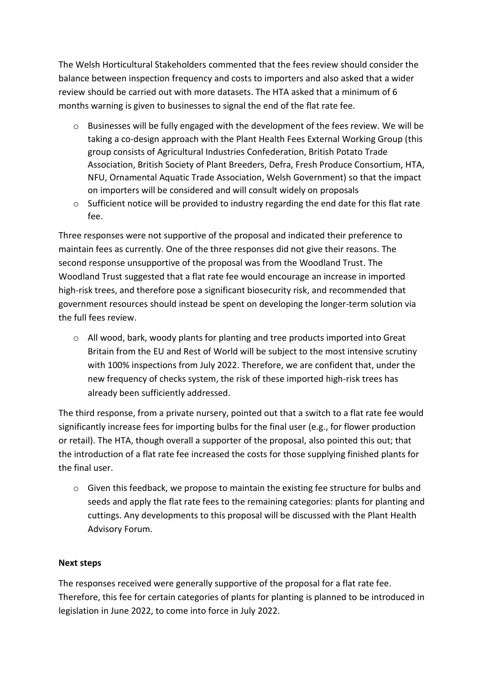The Welsh Horticultural Stakeholders commented that the fees review should consider the balance between inspection frequency and costs to importers and also asked that a wider review should be carried out with more datasets. The HTA asked that a minimum of 6 months warning is given to businesses to signal the end of the flat rate fee.

- $\circ$  Businesses will be fully engaged with the development of the fees review. We will be taking a co-design approach with the Plant Health Fees External Working Group (this group consists of Agricultural Industries Confederation, British Potato Trade Association, British Society of Plant Breeders, Defra, Fresh Produce Consortium, HTA, NFU, Ornamental Aquatic Trade Association, Welsh Government) so that the impact on importers will be considered and will consult widely on proposals
- $\circ$  Sufficient notice will be provided to industry regarding the end date for this flat rate fee.

Three responses were not supportive of the proposal and indicated their preference to maintain fees as currently. One of the three responses did not give their reasons. The second response unsupportive of the proposal was from the Woodland Trust. The Woodland Trust suggested that a flat rate fee would encourage an increase in imported high-risk trees, and therefore pose a significant biosecurity risk, and recommended that government resources should instead be spent on developing the longer-term solution via the full fees review.

o All wood, bark, woody plants for planting and tree products imported into Great Britain from the EU and Rest of World will be subject to the most intensive scrutiny with 100% inspections from July 2022. Therefore, we are confident that, under the new frequency of checks system, the risk of these imported high-risk trees has already been sufficiently addressed.

The third response, from a private nursery, pointed out that a switch to a flat rate fee would significantly increase fees for importing bulbs for the final user (e.g., for flower production or retail). The HTA, though overall a supporter of the proposal, also pointed this out; that the introduction of a flat rate fee increased the costs for those supplying finished plants for the final user.

 $\circ$  Given this feedback, we propose to maintain the existing fee structure for bulbs and seeds and apply the flat rate fees to the remaining categories: plants for planting and cuttings. Any developments to this proposal will be discussed with the Plant Health Advisory Forum.

## **Next steps**

The responses received were generally supportive of the proposal for a flat rate fee. Therefore, this fee for certain categories of plants for planting is planned to be introduced in legislation in June 2022, to come into force in July 2022.